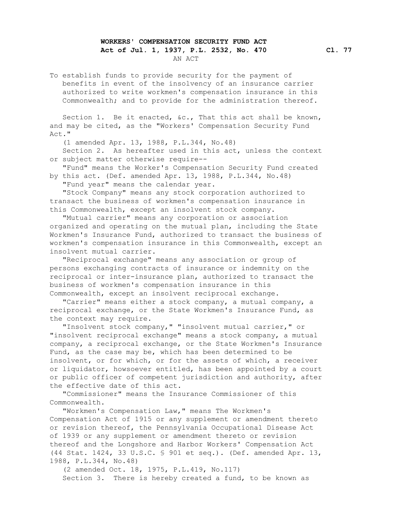## **WORKERS' COMPENSATION SECURITY FUND ACT Act of Jul. 1, 1937, P.L. 2532, No. 470 Cl. 77** AN ACT

 To establish funds to provide security for the payment of benefits in event of the insolvency of an insurance carrier authorized to write workmen's compensation insurance in this Commonwealth; and to provide for the administration thereof.

Section 1. Be it enacted, &c., That this act shall be known, and may be cited, as the "Workers' Compensation Security Fund Act."

(1 amended Apr. 13, 1988, P.L.344, No.48)

 Section 2. As hereafter used in this act, unless the context or subject matter otherwise require--

 "Fund" means the Worker's Compensation Security Fund created by this act. (Def. amended Apr. 13, 1988, P.L.344, No.48)

"Fund year" means the calendar year.

 "Stock Company" means any stock corporation authorized to transact the business of workmen's compensation insurance in this Commonwealth, except an insolvent stock company.

 "Mutual carrier" means any corporation or association organized and operating on the mutual plan, including the State Workmen's Insurance Fund, authorized to transact the business of workmen's compensation insurance in this Commonwealth, except an insolvent mutual carrier.

 "Reciprocal exchange" means any association or group of persons exchanging contracts of insurance or indemnity on the reciprocal or inter-insurance plan, authorized to transact the business of workmen's compensation insurance in this Commonwealth, except an insolvent reciprocal exchange.

 "Carrier" means either a stock company, a mutual company, a reciprocal exchange, or the State Workmen's Insurance Fund, as the context may require.

 "Insolvent stock company," "insolvent mutual carrier," or "insolvent reciprocal exchange" means a stock company, a mutual company, a reciprocal exchange, or the State Workmen's Insurance Fund, as the case may be, which has been determined to be insolvent, or for which, or for the assets of which, a receiver or liquidator, howsoever entitled, has been appointed by a court or public officer of competent jurisdiction and authority, after the effective date of this act.

 "Commissioner" means the Insurance Commissioner of this Commonwealth.

 "Workmen's Compensation Law," means The Workmen's Compensation Act of 1915 or any supplement or amendment thereto or revision thereof, the Pennsylvania Occupational Disease Act of 1939 or any supplement or amendment thereto or revision thereof and the Longshore and Harbor Workers' Compensation Act (44 Stat. 1424, 33 U.S.C. § 901 et seq.). (Def. amended Apr. 13, 1988, P.L.344, No.48)

 (2 amended Oct. 18, 1975, P.L.419, No.117) Section 3. There is hereby created a fund, to be known as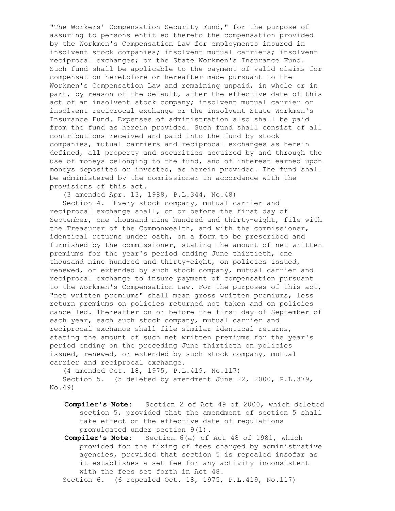"The Workers' Compensation Security Fund," for the purpose of assuring to persons entitled thereto the compensation provided by the Workmen's Compensation Law for employments insured in insolvent stock companies; insolvent mutual carriers; insolvent reciprocal exchanges; or the State Workmen's Insurance Fund. Such fund shall be applicable to the payment of valid claims for compensation heretofore or hereafter made pursuant to the Workmen's Compensation Law and remaining unpaid, in whole or in part, by reason of the default, after the effective date of this act of an insolvent stock company; insolvent mutual carrier or insolvent reciprocal exchange or the insolvent State Workmen's Insurance Fund. Expenses of administration also shall be paid from the fund as herein provided. Such fund shall consist of all contributions received and paid into the fund by stock companies, mutual carriers and reciprocal exchanges as herein defined, all property and securities acquired by and through the use of moneys belonging to the fund, and of interest earned upon moneys deposited or invested, as herein provided. The fund shall be administered by the commissioner in accordance with the provisions of this act.

(3 amended Apr. 13, 1988, P.L.344, No.48)

 Section 4. Every stock company, mutual carrier and reciprocal exchange shall, on or before the first day of September, one thousand nine hundred and thirty-eight, file with the Treasurer of the Commonwealth, and with the commissioner, identical returns under oath, on a form to be prescribed and furnished by the commissioner, stating the amount of net written premiums for the year's period ending June thirtieth, one thousand nine hundred and thirty-eight, on policies issued, renewed, or extended by such stock company, mutual carrier and reciprocal exchange to insure payment of compensation pursuant to the Workmen's Compensation Law. For the purposes of this act, "net written premiums" shall mean gross written premiums, less return premiums on policies returned not taken and on policies cancelled. Thereafter on or before the first day of September of each year, each such stock company, mutual carrier and reciprocal exchange shall file similar identical returns, stating the amount of such net written premiums for the year's period ending on the preceding June thirtieth on policies issued, renewed, or extended by such stock company, mutual carrier and reciprocal exchange.

(4 amended Oct. 18, 1975, P.L.419, No.117)

 Section 5. (5 deleted by amendment June 22, 2000, P.L.379, No.49)

- **Compiler's Note:** Section 2 of Act 49 of 2000, which deleted section 5, provided that the amendment of section 5 shall take effect on the effective date of regulations promulgated under section 9(1).
- **Compiler's Note:** Section 6(a) of Act 48 of 1981, which provided for the fixing of fees charged by administrative agencies, provided that section 5 is repealed insofar as it establishes a set fee for any activity inconsistent with the fees set forth in Act 48.

Section 6. (6 repealed Oct. 18, 1975, P.L.419, No.117)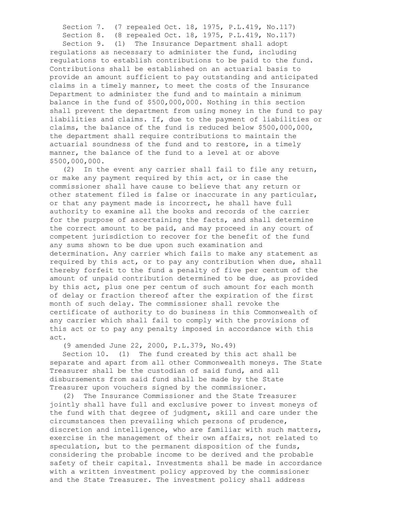Section 7. (7 repealed Oct. 18, 1975, P.L.419, No.117)

Section 8. (8 repealed Oct. 18, 1975, P.L.419, No.117)

 Section 9. (1) The Insurance Department shall adopt regulations as necessary to administer the fund, including regulations to establish contributions to be paid to the fund. Contributions shall be established on an actuarial basis to provide an amount sufficient to pay outstanding and anticipated claims in a timely manner, to meet the costs of the Insurance Department to administer the fund and to maintain a minimum balance in the fund of \$500,000,000. Nothing in this section shall prevent the department from using money in the fund to pay liabilities and claims. If, due to the payment of liabilities or claims, the balance of the fund is reduced below \$500,000,000, the department shall require contributions to maintain the actuarial soundness of the fund and to restore, in a timely manner, the balance of the fund to a level at or above \$500,000,000.

 (2) In the event any carrier shall fail to file any return, or make any payment required by this act, or in case the commissioner shall have cause to believe that any return or other statement filed is false or inaccurate in any particular, or that any payment made is incorrect, he shall have full authority to examine all the books and records of the carrier for the purpose of ascertaining the facts, and shall determine the correct amount to be paid, and may proceed in any court of competent jurisdiction to recover for the benefit of the fund any sums shown to be due upon such examination and determination. Any carrier which fails to make any statement as required by this act, or to pay any contribution when due, shall thereby forfeit to the fund a penalty of five per centum of the amount of unpaid contribution determined to be due, as provided by this act, plus one per centum of such amount for each month of delay or fraction thereof after the expiration of the first month of such delay. The commissioner shall revoke the certificate of authority to do business in this Commonwealth of any carrier which shall fail to comply with the provisions of this act or to pay any penalty imposed in accordance with this act.

(9 amended June 22, 2000, P.L.379, No.49)

 Section 10. (1) The fund created by this act shall be separate and apart from all other Commonwealth moneys. The State Treasurer shall be the custodian of said fund, and all disbursements from said fund shall be made by the State Treasurer upon vouchers signed by the commissioner.

 (2) The Insurance Commissioner and the State Treasurer jointly shall have full and exclusive power to invest moneys of the fund with that degree of judgment, skill and care under the circumstances then prevailing which persons of prudence, discretion and intelligence, who are familiar with such matters, exercise in the management of their own affairs, not related to speculation, but to the permanent disposition of the funds, considering the probable income to be derived and the probable safety of their capital. Investments shall be made in accordance with a written investment policy approved by the commissioner and the State Treasurer. The investment policy shall address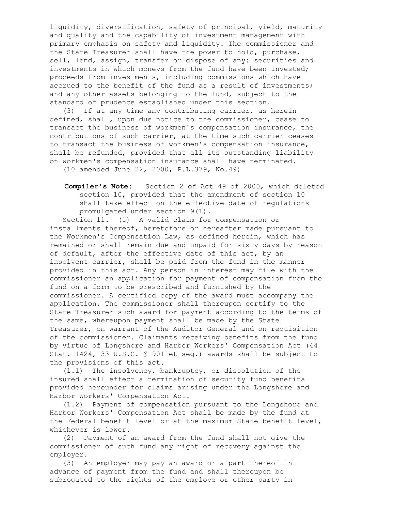liquidity, diversification, safety of principal, yield, maturity and quality and the capability of investment management with primary emphasis on safety and liquidity. The commissioner and the State Treasurer shall have the power to hold, purchase, sell, lend, assign, transfer or dispose of any: securities and investments in which moneys from the fund have been invested; proceeds from investments, including commissions which have accrued to the benefit of the fund as a result of investments; and any other assets belonging to the fund, subject to the standard of prudence established under this section.

 (3) If at any time any contributing carrier, as herein defined, shall, upon due notice to the commissioner, cease to transact the business of workmen's compensation insurance, the contributions of such carrier, at the time such carrier ceases to transact the business of workmen's compensation insurance, shall be refunded, provided that all its outstanding liability on workmen's compensation insurance shall have terminated.

(10 amended June 22, 2000, P.L.379, No.49)

 **Compiler's Note:** Section 2 of Act 49 of 2000, which deleted section 10, provided that the amendment of section 10 shall take effect on the effective date of regulations promulgated under section 9(1).

 Section 11. (1) A valid claim for compensation or installments thereof, heretofore or hereafter made pursuant to the Workmen's Compensation Law, as defined herein, which has remained or shall remain due and unpaid for sixty days by reason of default, after the effective date of this act, by an insolvent carrier, shall be paid from the fund in the manner provided in this act. Any person in interest may file with the commissioner an application for payment of compensation from the fund on a form to be prescribed and furnished by the commissioner. A certified copy of the award must accompany the application. The commissioner shall thereupon certify to the State Treasurer such award for payment according to the terms of the same, whereupon payment shall be made by the State Treasurer, on warrant of the Auditor General and on requisition of the commissioner. Claimants receiving benefits from the fund by virtue of Longshore and Harbor Workers' Compensation Act (44 Stat. 1424, 33 U.S.C. § 901 et seq.) awards shall be subject to the provisions of this act.

(1.1) The insolvency, bankruptcy, or dissolution of the

 Harbor Workers' Compensation Act shall be made by the fund at the Federal benefit level or at the maximum State benefit level, whichever is lower.

 (2) Payment of an award from the fund shall not give the commissioner of such fund any right of recovery against the employer.

 (3) An employer may pay an award or a part thereof in advance of payment from the fund and shall thereupon be subrogated to the rights of the employe or other party in

 insured shall effect a termination of security fund benefits provided hereunder for claims arising under the Longshore and Harbor Workers' Compensation Act. (1.2) Payment of compensation pursuant to the Longshore and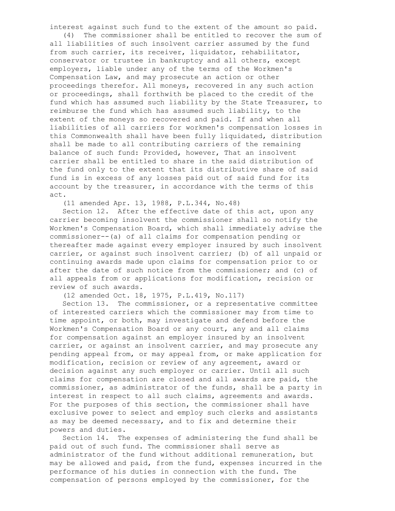interest against such fund to the extent of the amount so paid.

 (4) The commissioner shall be entitled to recover the sum of all liabilities of such insolvent carrier assumed by the fund from such carrier, its receiver, liquidator, rehabilitator, conservator or trustee in bankruptcy and all others, except employers, liable under any of the terms of the Workmen's Compensation Law, and may prosecute an action or other proceedings therefor. All moneys, recovered in any such action or proceedings, shall forthwith be placed to the credit of the fund which has assumed such liability by the State Treasurer, to reimburse the fund which has assumed such liability, to the extent of the moneys so recovered and paid. If and when all liabilities of all carriers for workmen's compensation losses in this Commonwealth shall have been fully liquidated, distribution shall be made to all contributing carriers of the remaining balance of such fund: Provided, however, That an insolvent carrier shall be entitled to share in the said distribution of the fund only to the extent that its distributive share of said fund is in excess of any losses paid out of said fund for its account by the treasurer, in accordance with the terms of this act.

(11 amended Apr. 13, 1988, P.L.344, No.48)

 Section 12. After the effective date of this act, upon any carrier becoming insolvent the commissioner shall so notify the Workmen's Compensation Board, which shall immediately advise the commissioner--(a) of all claims for compensation pending or thereafter made against every employer insured by such insolvent carrier, or against such insolvent carrier; (b) of all unpaid or continuing awards made upon claims for compensation prior to or after the date of such notice from the commissioner; and (c) of all appeals from or applications for modification, recision or review of such awards.

(12 amended Oct. 18, 1975, P.L.419, No.117)

 Section 13. The commissioner, or a representative committee of interested carriers which the commissioner may from time to time appoint, or both, may investigate and defend before the Workmen's Compensation Board or any court, any and all claims for compensation against an employer insured by an insolvent carrier, or against an insolvent carrier, and may prosecute any pending appeal from, or may appeal from, or make application for modification, recision or review of any agreement, award or decision against any such employer or carrier. Until all such claims for compensation are closed and all awards are paid, the commissioner, as administrator of the funds, shall be a party in interest in respect to all such claims, agreements and awards. For the purposes of this section, the commissioner shall have exclusive power to select and employ such clerks and assistants as may be deemed necessary, and to fix and determine their powers and duties.

 Section 14. The expenses of administering the fund shall be paid out of such fund. The commissioner shall serve as administrator of the fund without additional remuneration, but may be allowed and paid, from the fund, expenses incurred in the performance of his duties in connection with the fund. The compensation of persons employed by the commissioner, for the